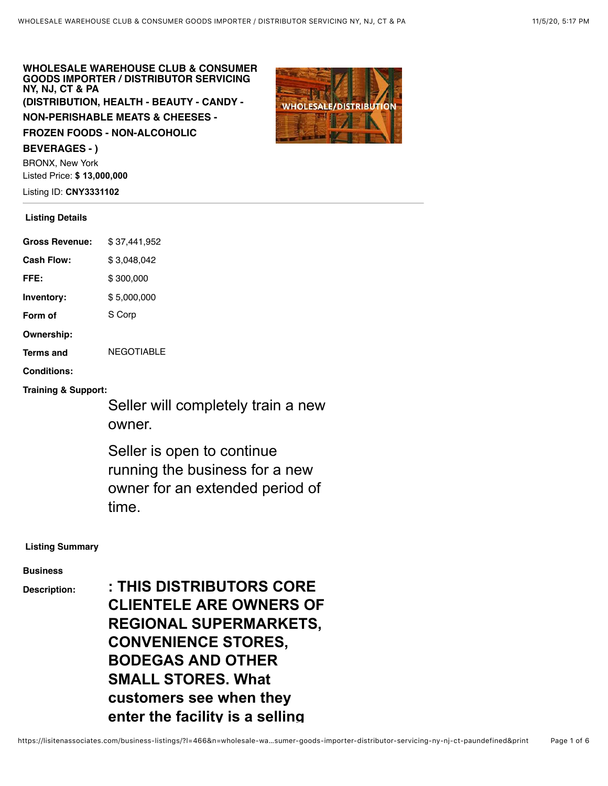# **WHOLESALE WAREHOUSE CLUB & CONSUMER GOODS IMPORTER / DISTRIBUTOR SERVICING NY, NJ, CT & PA (DISTRIBUTION, HEALTH - BEAUTY - CANDY -**

**NON-PERISHABLE MEATS & CHEESES -**

**FROZEN FOODS - NON-ALCOHOLIC**

#### **BEVERAGES - )**

BRONX, New York Listed Price: **\$ 13,000,000**

Listing ID: **CNY3331102**

# **Listing Details**

| <b>Gross Revenue:</b> | \$37,441,952 |
|-----------------------|--------------|
| Cash Flow:            | \$3,048,042  |
| FFE:                  | \$300,000    |
| Inventory:            | \$5,000,000  |
| Form of               | S Corp       |
| Ownership:            |              |
| Terms and             | NFGOTIABI F  |
| <b>Conditions:</b>    |              |

**Training & Support:**

Seller will completely train a new owner.

Seller is open to continue running the business for a new owner for an extended period of time.

## **Listing Summary**

#### **Business**

**Description: : THIS DISTRIBUTORS CORE CLIENTELE ARE OWNERS OF REGIONAL SUPERMARKETS, CONVENIENCE STORES, BODEGAS AND OTHER SMALL STORES. What customers see when they enter the facility is a selling**

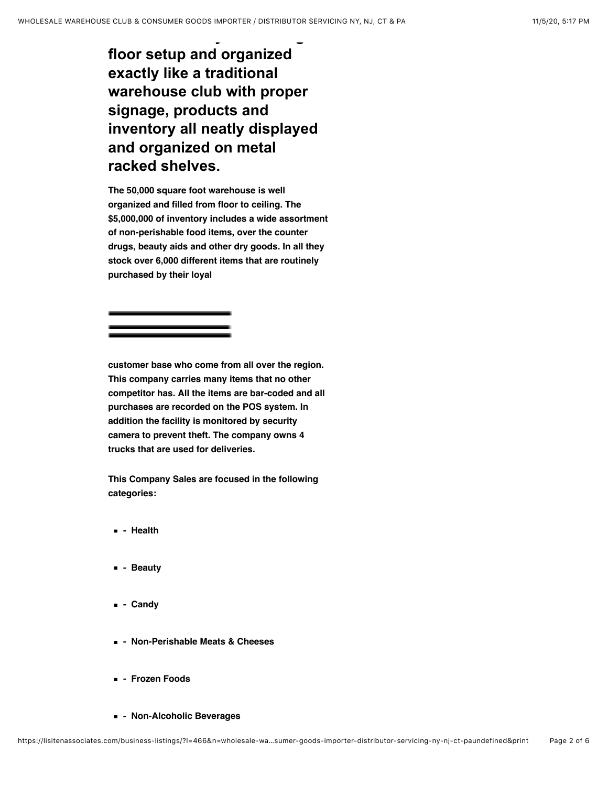**enter the facility is a selling floor setup and organized exactly like a traditional warehouse club with proper signage, products and inventory all neatly displayed and organized on metal racked shelves.**

**The 50,000 square foot warehouse is well organized and filled from floor to ceiling. The \$5,000,000 of inventory includes a wide assortment of non-perishable food items, over the counter drugs, beauty aids and other dry goods. In all they stock over 6,000 different items that are routinely purchased by their loyal**

**customer base who come from all over the region. This company carries many items that no other competitor has. All the items are bar-coded and all purchases are recorded on the POS system. In addition the facility is monitored by security camera to prevent theft. The company owns 4 trucks that are used for deliveries.**

**This Company Sales are focused in the following categories:**

- **Health**
- **Beauty**
- **Candy**
- **Non-Perishable Meats & Cheeses**
- **Frozen Foods**
- **Non-Alcoholic Beverages**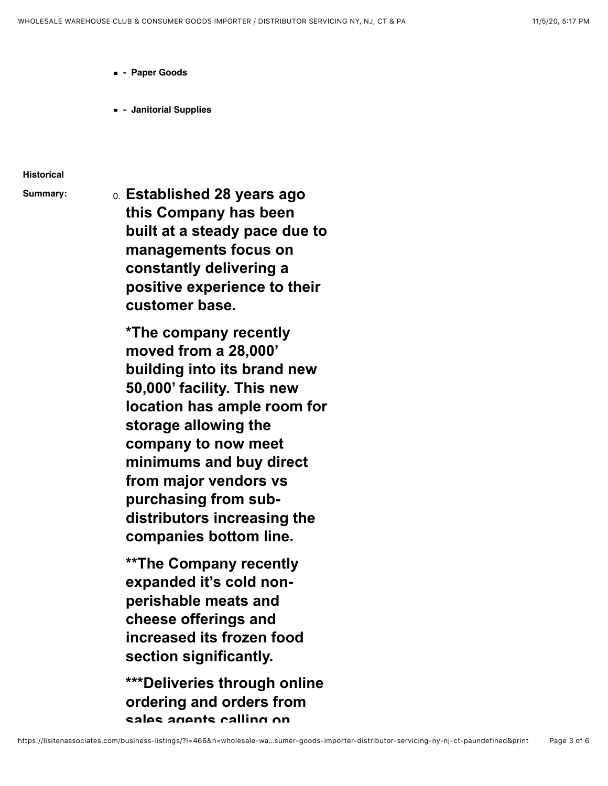- **Paper Goods**
- **Janitorial Supplies**

#### **Historical**

**Summary:** 0. **Established 28 years ago this Company has been built at a steady pace due to managements focus on constantly delivering a positive experience to their customer base.**

> **\*The company recently moved from a 28,000' building into its brand new 50,000' facility. This new location has ample room for storage allowing the company to now meet minimums and buy direct from major vendors vs purchasing from subdistributors increasing the companies bottom line.**

**\*\*The Company recently expanded it's cold nonperishable meats and cheese offerings and increased its frozen food section significantly.**

**\*\*\*Deliveries through online ordering and orders from sales agents calling on**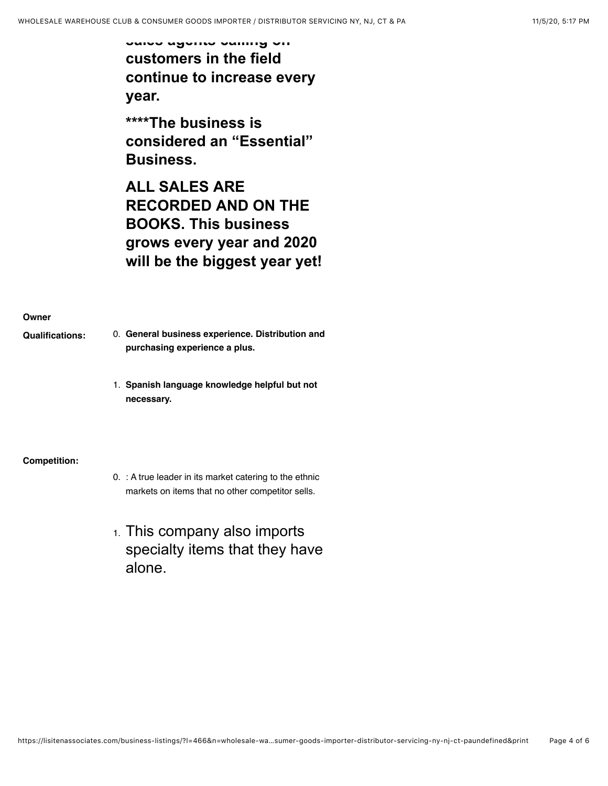**sales agents calling on customers in the field continue to increase every year.**

**\*\*\*\*The business is considered an "Essential" Business.**

**ALL SALES ARE RECORDED AND ON THE BOOKS. This business grows every year and 2020 will be the biggest year yet!**

## **Owner**

- **Qualifications:** 0. **General business experience. Distribution and purchasing experience a plus.**
	- 1. **Spanish language knowledge helpful but not necessary.**

## **Competition:**

- 0. : A true leader in its market catering to the ethnic markets on items that no other competitor sells.
- 1. This company also imports specialty items that they have alone.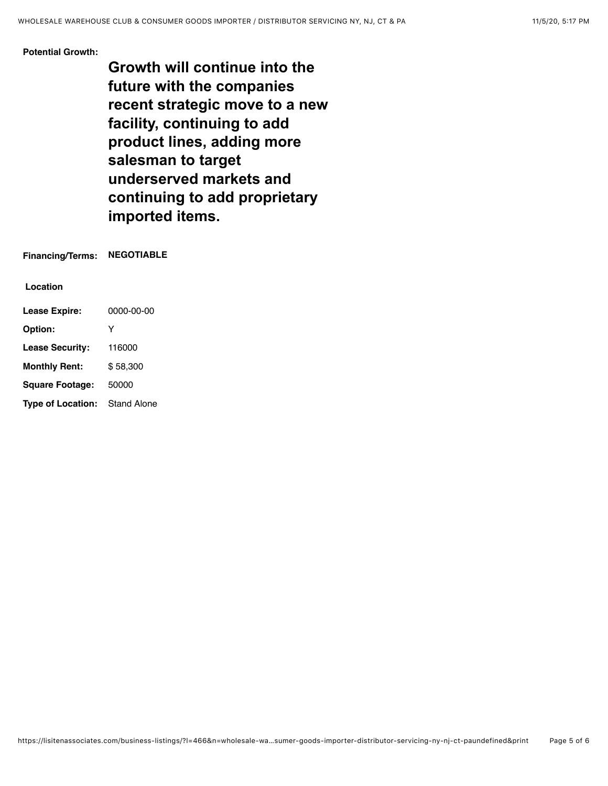#### **Potential Growth:**

**Growth will continue into the future with the companies recent strategic move to a new facility, continuing to add product lines, adding more salesman to target underserved markets and continuing to add proprietary imported items.**

**Financing/Terms: NEGOTIABLE**

**Location**

| <b>Lease Expire:</b>     | 0000-00-00         |
|--------------------------|--------------------|
| Option:                  | Y                  |
| <b>Lease Security:</b>   | 116000             |
| <b>Monthly Rent:</b>     | \$58.300           |
| <b>Square Footage:</b>   | 50000              |
| <b>Type of Location:</b> | <b>Stand Alone</b> |